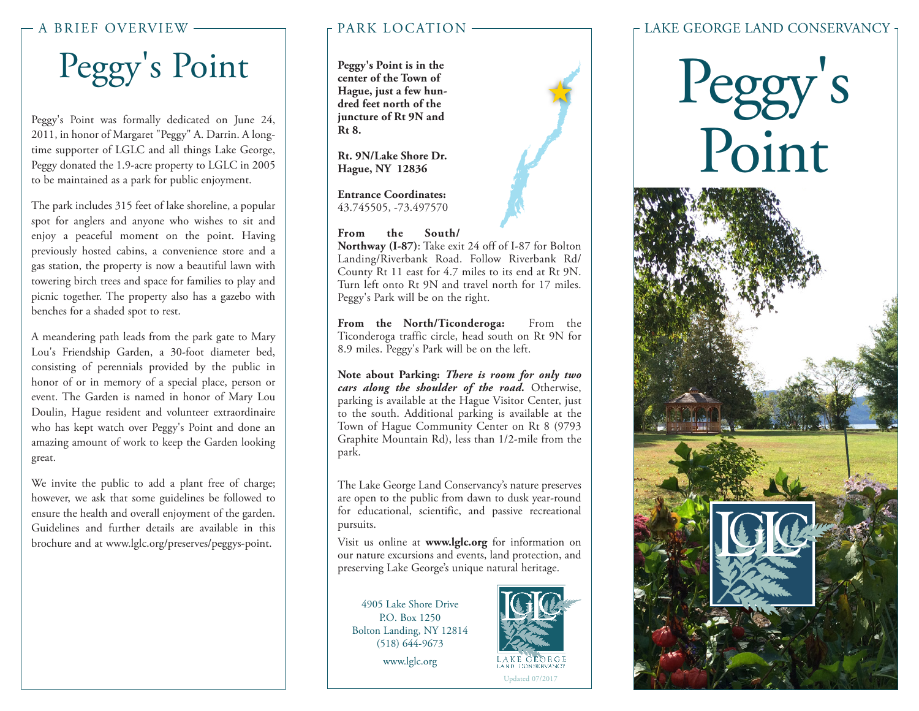#### A BRIEF OVERVIEW

## Peggy's Point

Peggy's Point was formally dedicated on June 24, 2011, in honor of Margaret "Peggy" A. Darrin. A longtime supporter of LGLC and all things Lake George, Peggy donated the 1.9-acre property to LGLC in 2005 to be maintained as a park for public enjoyment.

The park includes 315 feet of lake shoreline, a popular spot for anglers and anyone who wishes to sit and enjoy a peaceful moment on the point. Having previously hosted cabins, a convenience store and a gas station, the property is now a beautiful lawn with towering birch trees and space for families to play and picnic together. The property also has a gazebo with benches for a shaded spot to rest.

A meandering path leads from the park gate to Mary Lou's Friendship Garden, a 30-foot diameter bed, consisting of perennials provided by the public in honor of or in memory of a special place, person or event. The Garden is named in honor of Mary Lou Doulin, Hague resident and volunteer extraordinaire who has kept watch over Peggy's Point and done an amazing amount of work to keep the Garden looking great.

We invite the public to add a plant free of charge; however, we ask that some guidelines be followed to ensure the health and overall enjoyment of the garden. Guidelines and further details are available in this brochure and at www.lglc.org/preserves/peggys-point.

#### PARK LOCATION

**Peggy's Point is in the center of the Town of Hague, just a few hundred feet north of the juncture of Rt 9N and Rt 8.**

**Rt. 9N/Lake Shore Dr. Hague, NY 12836**

**Entrance Coordinates:** 43.745505, -73.497570

#### **From the South/**

**Northway (I-87)**: Take exit 24 off of I-87 for Bolton Landing/Riverbank Road. Follow Riverbank Rd/ County Rt 11 east for 4.7 miles to its end at Rt 9N. Turn left onto Rt 9N and travel north for 17 miles. Peggy's Park will be on the right.

**From the North/Ticonderoga:** From the Ticonderoga traffic circle, head south on Rt 9N for 8.9 miles. Peggy's Park will be on the left.

**Note about Parking:** *There is room for only two cars along the shoulder of the road.* Otherwise, parking is available at the Hague Visitor Center, just to the south. Additional parking is available at the Town of Hague Community Center on Rt 8 (9793 Graphite Mountain Rd), less than 1/2-mile from the park.

The Lake George Land Conservancy's nature preserves are open to the public from dawn to dusk year-round for educational, scientific, and passive recreational pursuits.

Visit us online at **www.lglc.org** for information on our nature excursions and events, land protection, and preserving Lake George's unique natural heritage.

4905 Lake Shore Drive P.O. Box 1250 Bolton Landing, NY 12814 (518) 644-9673

www.lglc.org



大

#### LAKE GEORGE LAND CONSERVANCY